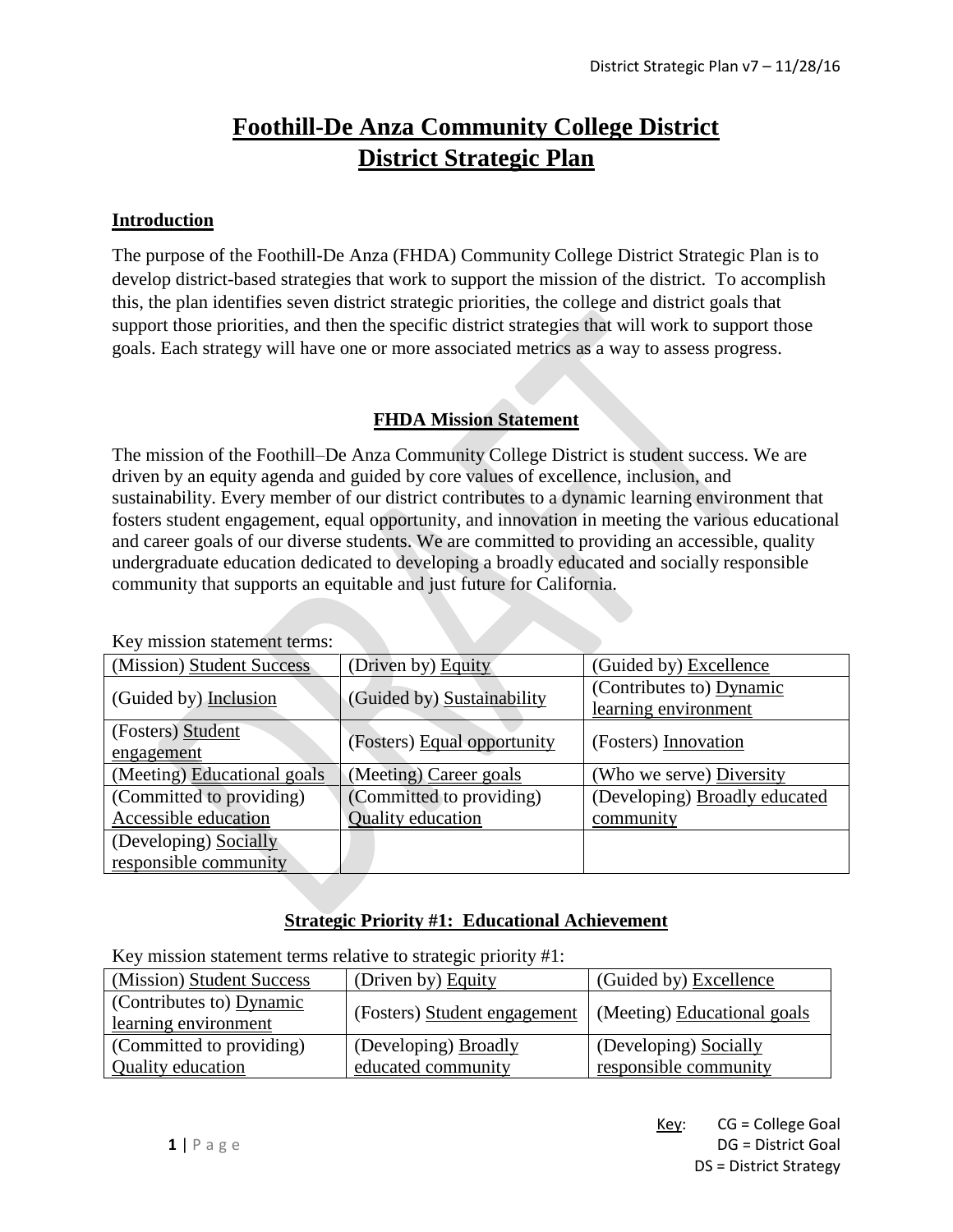# **Foothill-De Anza Community College District District Strategic Plan**

#### **Introduction**

The purpose of the Foothill-De Anza (FHDA) Community College District Strategic Plan is to develop district-based strategies that work to support the mission of the district. To accomplish this, the plan identifies seven district strategic priorities, the college and district goals that support those priorities, and then the specific district strategies that will work to support those goals. Each strategy will have one or more associated metrics as a way to assess progress.

# **FHDA Mission Statement**

The mission of the Foothill–De Anza Community College District is student success. We are driven by an equity agenda and guided by core values of excellence, inclusion, and sustainability. Every member of our district contributes to a dynamic learning environment that fosters student engagement, equal opportunity, and innovation in meeting the various educational and career goals of our diverse students. We are committed to providing an accessible, quality undergraduate education dedicated to developing a broadly educated and socially responsible community that supports an equitable and just future for California.

| <u>KCy hiission statement terms.</u> |                             |                               |
|--------------------------------------|-----------------------------|-------------------------------|
| (Mission) Student Success            | (Driven by) Equity          | (Guided by) Excellence        |
| (Guided by) Inclusion                | (Guided by) Sustainability  | (Contributes to) Dynamic      |
|                                      |                             | learning environment          |
| (Fosters) Student                    |                             | (Fosters) Innovation          |
| engagement                           | (Fosters) Equal opportunity |                               |
| (Meeting) Educational goals          | (Meeting) Career goals      | (Who we serve) Diversity      |
| (Committed to providing)             | (Committed to providing)    | (Developing) Broadly educated |
| Accessible education                 | <b>Quality</b> education    | community                     |
| (Developing) Socially                |                             |                               |
| responsible community                |                             |                               |

Key mission statement terms:

# **Strategic Priority #1: Educational Achievement**

Key mission statement terms relative to strategic priority #1:

| (Mission) Student Success                        | (Driven by) Equity                         | (Guided by) Excellence                         |
|--------------------------------------------------|--------------------------------------------|------------------------------------------------|
| (Contributes to) Dynamic<br>learning environment | (Fosters) Student engagement               | (Meeting) Educational goals                    |
| (Committed to providing)<br>Quality education    | (Developing) Broadly<br>educated community | (Developing) Socially<br>responsible community |
|                                                  |                                            |                                                |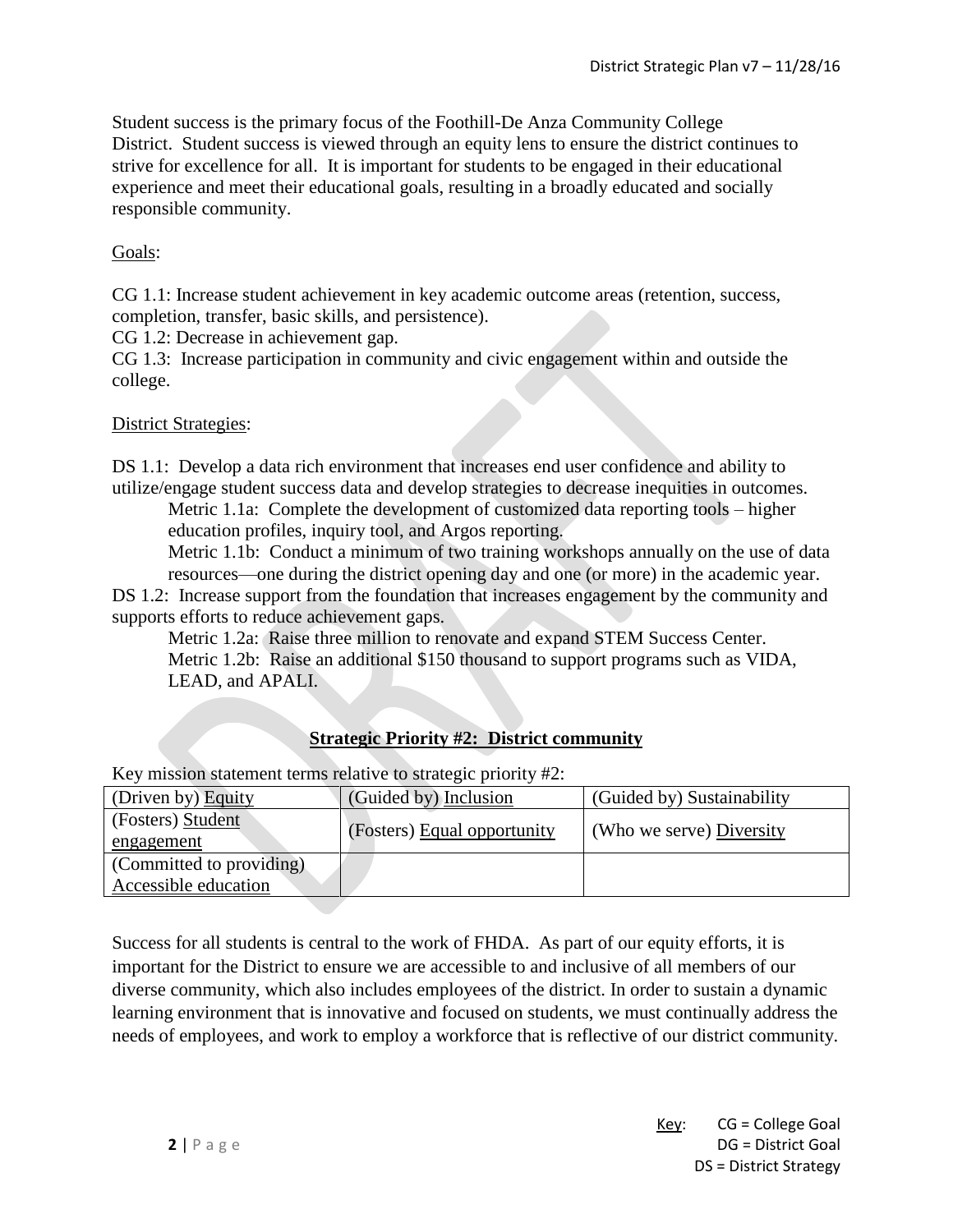Student success is the primary focus of the Foothill-De Anza Community College District. Student success is viewed through an equity lens to ensure the district continues to strive for excellence for all. It is important for students to be engaged in their educational experience and meet their educational goals, resulting in a broadly educated and socially responsible community.

# Goals:

CG 1.1: Increase student achievement in key academic outcome areas (retention, success, completion, transfer, basic skills, and persistence).

CG 1.2: Decrease in achievement gap.

CG 1.3: Increase participation in community and civic engagement within and outside the college.

#### District Strategies:

DS 1.1: Develop a data rich environment that increases end user confidence and ability to utilize/engage student success data and develop strategies to decrease inequities in outcomes.

Metric 1.1a: Complete the development of customized data reporting tools – higher education profiles, inquiry tool, and Argos reporting.

Metric 1.1b: Conduct a minimum of two training workshops annually on the use of data resources—one during the district opening day and one (or more) in the academic year.

DS 1.2: Increase support from the foundation that increases engagement by the community and supports efforts to reduce achievement gaps.

Metric 1.2a: Raise three million to renovate and expand STEM Success Center. Metric 1.2b: Raise an additional \$150 thousand to support programs such as VIDA, LEAD, and APALI.

# **Strategic Priority #2: District community**

Key mission statement terms relative to strategic priority #2:

| (Driven by) Equity       | (Guided by) Inclusion       | (Guided by) Sustainability |
|--------------------------|-----------------------------|----------------------------|
| (Fosters) Student        |                             | (Who we serve) Diversity   |
| engagement               | (Fosters) Equal opportunity |                            |
| (Committed to providing) |                             |                            |
| Accessible education     |                             |                            |

Success for all students is central to the work of FHDA. As part of our equity efforts, it is important for the District to ensure we are accessible to and inclusive of all members of our diverse community, which also includes employees of the district. In order to sustain a dynamic learning environment that is innovative and focused on students, we must continually address the needs of employees, and work to employ a workforce that is reflective of our district community.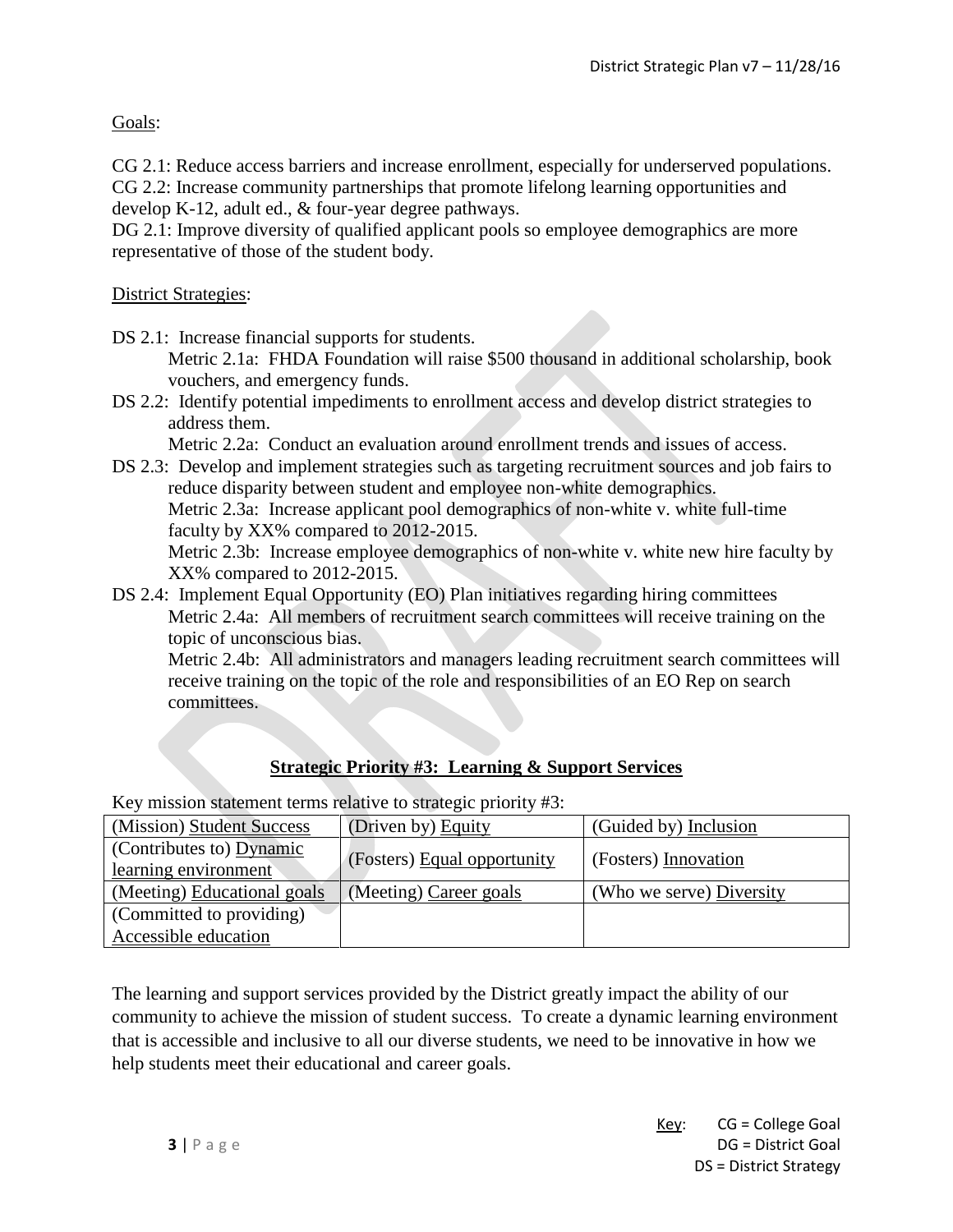Goals:

CG 2.1: Reduce access barriers and increase enrollment, especially for underserved populations.

CG 2.2: Increase community partnerships that promote lifelong learning opportunities and develop K-12, adult ed., & four-year degree pathways.

DG 2.1: Improve diversity of qualified applicant pools so employee demographics are more representative of those of the student body.

### District Strategies:

DS 2.1: Increase financial supports for students. Metric 2.1a: FHDA Foundation will raise \$500 thousand in additional scholarship, book vouchers, and emergency funds.

DS 2.2: Identify potential impediments to enrollment access and develop district strategies to address them.

Metric 2.2a: Conduct an evaluation around enrollment trends and issues of access.

DS 2.3: Develop and implement strategies such as targeting recruitment sources and job fairs to reduce disparity between student and employee non-white demographics. Metric 2.3a: Increase applicant pool demographics of non-white v. white full-time faculty by XX% compared to 2012-2015.

Metric 2.3b: Increase employee demographics of non-white v. white new hire faculty by XX% compared to 2012-2015.

DS 2.4: Implement Equal Opportunity (EO) Plan initiatives regarding hiring committees Metric 2.4a: All members of recruitment search committees will receive training on the topic of unconscious bias.

Metric 2.4b: All administrators and managers leading recruitment search committees will receive training on the topic of the role and responsibilities of an EO Rep on search committees.

# **Strategic Priority #3: Learning & Support Services**

Key mission statement terms relative to strategic priority #3:

| (Mission) Student Success                        | (Driven by) Equity          | (Guided by) Inclusion    |
|--------------------------------------------------|-----------------------------|--------------------------|
| (Contributes to) Dynamic<br>learning environment | (Fosters) Equal opportunity | (Fosters) Innovation     |
| (Meeting) Educational goals                      | (Meeting) Career goals      | (Who we serve) Diversity |
| (Committed to providing)                         |                             |                          |
| Accessible education                             |                             |                          |

The learning and support services provided by the District greatly impact the ability of our community to achieve the mission of student success. To create a dynamic learning environment that is accessible and inclusive to all our diverse students, we need to be innovative in how we help students meet their educational and career goals.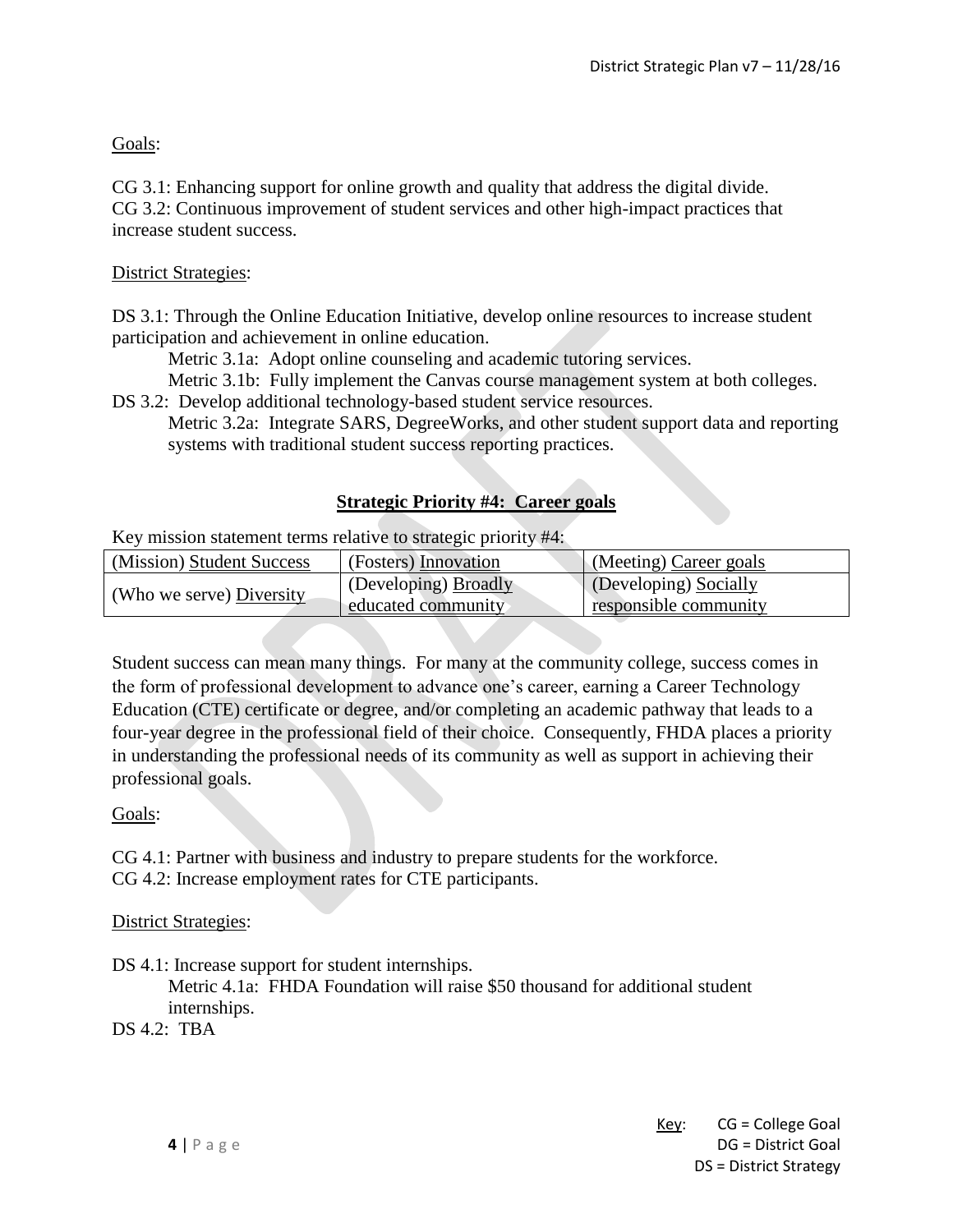### Goals:

CG 3.1: Enhancing support for online growth and quality that address the digital divide. CG 3.2: Continuous improvement of student services and other high-impact practices that increase student success.

#### District Strategies:

DS 3.1: Through the Online Education Initiative, develop online resources to increase student participation and achievement in online education.

Metric 3.1a: Adopt online counseling and academic tutoring services.

Metric 3.1b: Fully implement the Canvas course management system at both colleges.

DS 3.2: Develop additional technology-based student service resources. Metric 3.2a: Integrate SARS, DegreeWorks, and other student support data and reporting systems with traditional student success reporting practices.

#### **Strategic Priority #4: Career goals**

Key mission statement terms relative to strategic priority #4:

| (Mission) Student Success | (Fosters) Innovation | (Meeting) Career goals |
|---------------------------|----------------------|------------------------|
| (Who we serve) Diversity  | (Developing) Broadly | (Developing) Socially  |
|                           | educated community   | responsible community  |

Student success can mean many things. For many at the community college, success comes in the form of professional development to advance one's career, earning a Career Technology Education (CTE) certificate or degree, and/or completing an academic pathway that leads to a four-year degree in the professional field of their choice. Consequently, FHDA places a priority in understanding the professional needs of its community as well as support in achieving their professional goals.

Goals:

CG 4.1: Partner with business and industry to prepare students for the workforce.

CG 4.2: Increase employment rates for CTE participants.

District Strategies:

DS 4.1: Increase support for student internships. Metric 4.1a: FHDA Foundation will raise \$50 thousand for additional student internships.

DS 4.2: TBA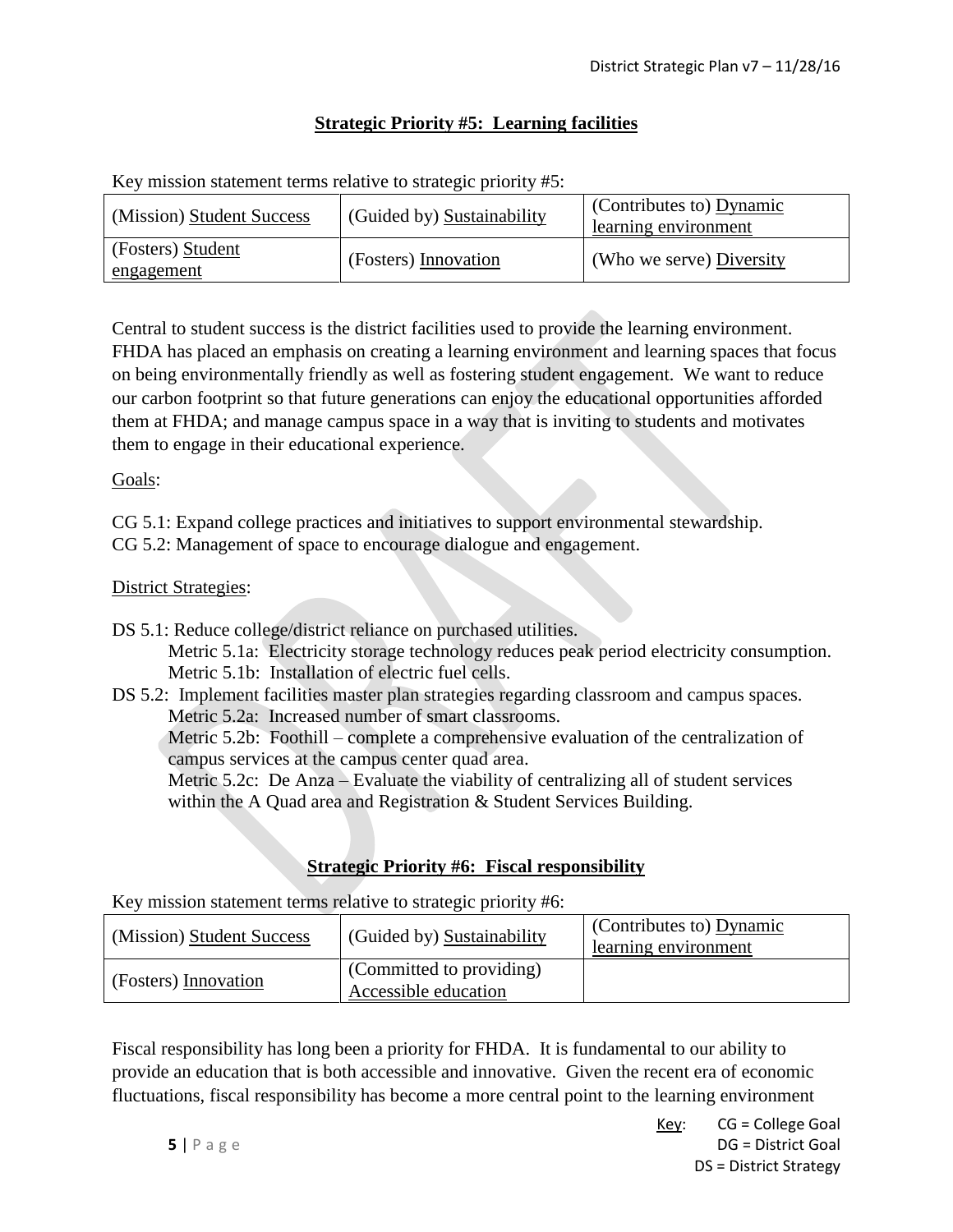# **Strategic Priority #5: Learning facilities**

Key mission statement terms relative to strategic priority #5:

| (Mission) Student Success       | (Guided by) Sustainability | $\vert$ (Contributes to) Dynamic<br>learning environment |
|---------------------------------|----------------------------|----------------------------------------------------------|
| (Fosters) Student<br>engagement | (Fosters) Innovation       | (Who we serve) Diversity                                 |

Central to student success is the district facilities used to provide the learning environment. FHDA has placed an emphasis on creating a learning environment and learning spaces that focus on being environmentally friendly as well as fostering student engagement. We want to reduce our carbon footprint so that future generations can enjoy the educational opportunities afforded them at FHDA; and manage campus space in a way that is inviting to students and motivates them to engage in their educational experience.

#### Goals:

- CG 5.1: Expand college practices and initiatives to support environmental stewardship.
- CG 5.2: Management of space to encourage dialogue and engagement.

#### District Strategies:

DS 5.1: Reduce college/district reliance on purchased utilities.

Metric 5.1a: Electricity storage technology reduces peak period electricity consumption. Metric 5.1b: Installation of electric fuel cells.

DS 5.2: Implement facilities master plan strategies regarding classroom and campus spaces. Metric 5.2a: Increased number of smart classrooms.

Metric 5.2b: Foothill – complete a comprehensive evaluation of the centralization of campus services at the campus center quad area.

Metric 5.2c: De Anza – Evaluate the viability of centralizing all of student services within the A Quad area and Registration & Student Services Building.

# **Strategic Priority #6: Fiscal responsibility**

Key mission statement terms relative to strategic priority #6:

| (Mission) Student Success | (Guided by) Sustainability                       | (Contributes to) Dynamic<br>learning environment |
|---------------------------|--------------------------------------------------|--------------------------------------------------|
| (Fosters) Innovation      | (Committed to providing)<br>Accessible education |                                                  |

Fiscal responsibility has long been a priority for FHDA. It is fundamental to our ability to provide an education that is both accessible and innovative. Given the recent era of economic fluctuations, fiscal responsibility has become a more central point to the learning environment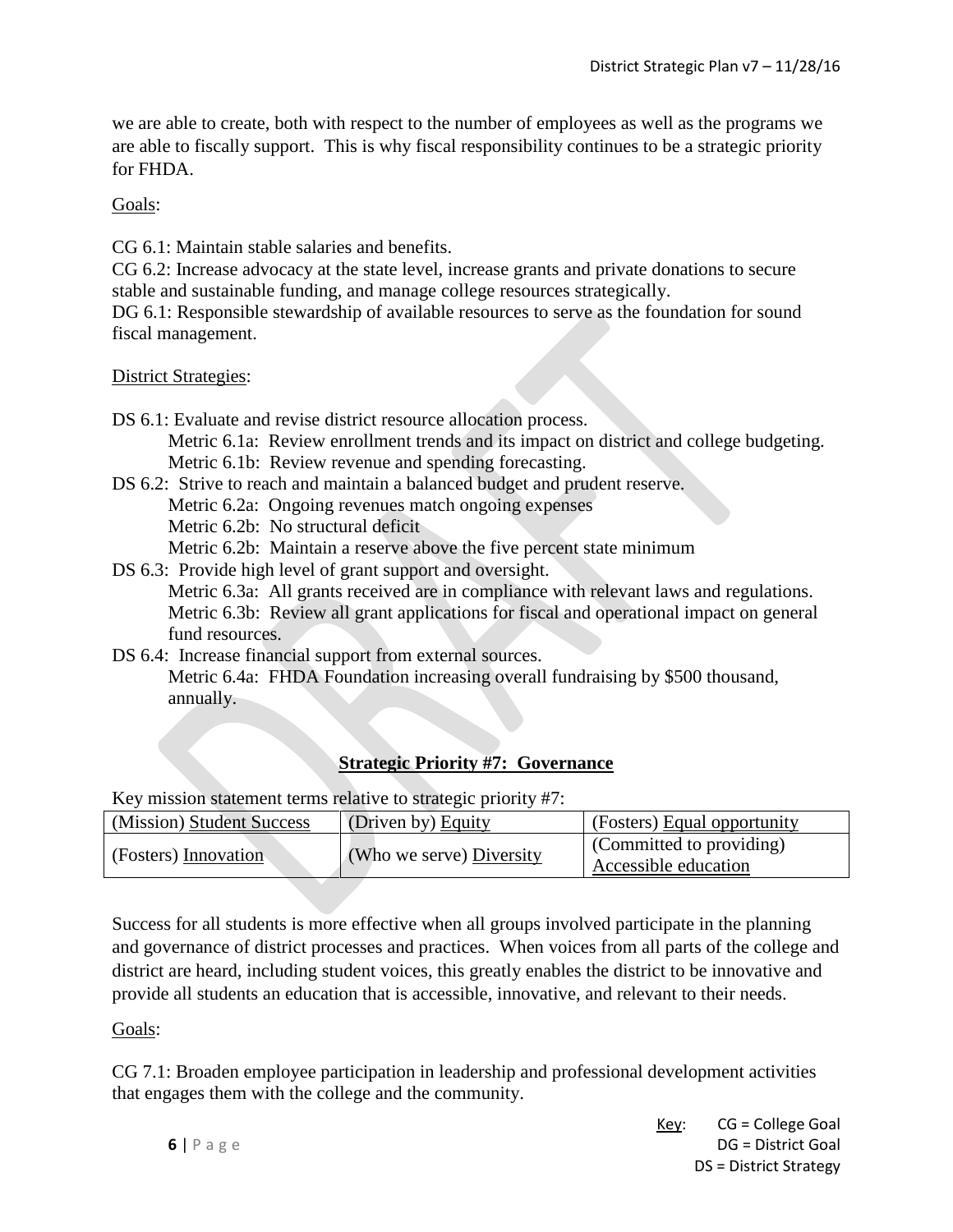we are able to create, both with respect to the number of employees as well as the programs we are able to fiscally support. This is why fiscal responsibility continues to be a strategic priority for FHDA.

Goals:

CG 6.1: Maintain stable salaries and benefits.

CG 6.2: Increase advocacy at the state level, increase grants and private donations to secure stable and sustainable funding, and manage college resources strategically.

DG 6.1: Responsible stewardship of available resources to serve as the foundation for sound fiscal management.

District Strategies:

DS 6.1: Evaluate and revise district resource allocation process.

Metric 6.1a: Review enrollment trends and its impact on district and college budgeting. Metric 6.1b: Review revenue and spending forecasting.

DS 6.2: Strive to reach and maintain a balanced budget and prudent reserve.

Metric 6.2a: Ongoing revenues match ongoing expenses

Metric 6.2b: No structural deficit

Metric 6.2b: Maintain a reserve above the five percent state minimum

DS 6.3: Provide high level of grant support and oversight. Metric 6.3a: All grants received are in compliance with relevant laws and regulations. Metric 6.3b: Review all grant applications for fiscal and operational impact on general

fund resources.

DS 6.4: Increase financial support from external sources.

Metric 6.4a: FHDA Foundation increasing overall fundraising by \$500 thousand, annually.

# **Strategic Priority #7: Governance**

Key mission statement terms relative to strategic priority #7:

| (Mission) Student Success | (Driven by) Equity       | (Fosters) Equal opportunity |
|---------------------------|--------------------------|-----------------------------|
| (Fosters) Innovation      | (Who we serve) Diversity | (Committed to providing)    |
|                           |                          | Accessible education        |

Success for all students is more effective when all groups involved participate in the planning and governance of district processes and practices. When voices from all parts of the college and district are heard, including student voices, this greatly enables the district to be innovative and provide all students an education that is accessible, innovative, and relevant to their needs.

Goals:

CG 7.1: Broaden employee participation in leadership and professional development activities that engages them with the college and the community.